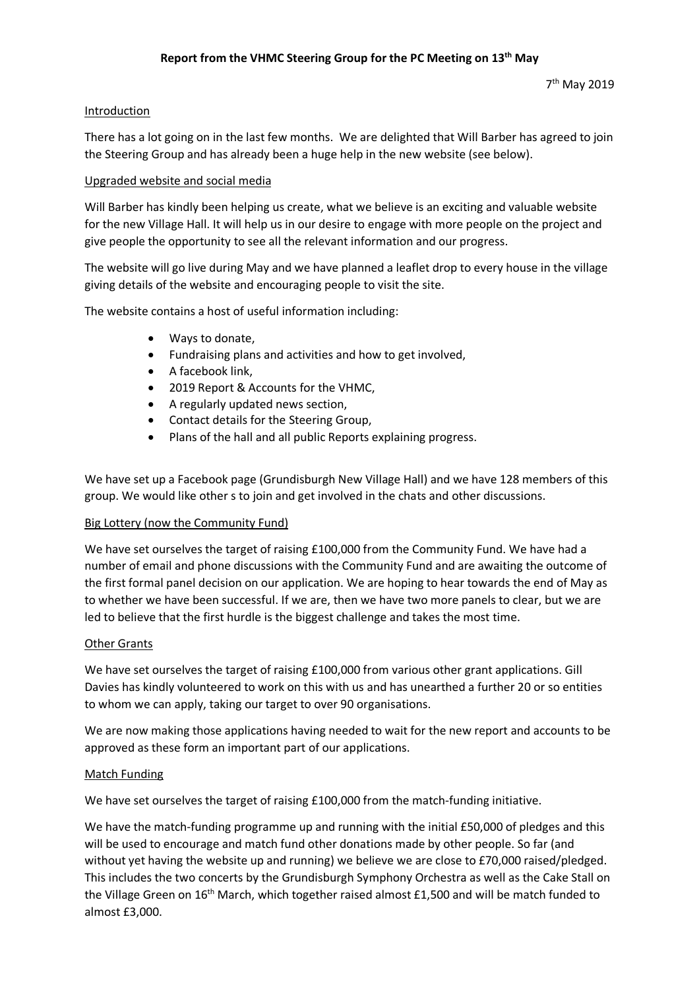# Introduction

There has a lot going on in the last few months. We are delighted that Will Barber has agreed to join the Steering Group and has already been a huge help in the new website (see below).

# Upgraded website and social media

Will Barber has kindly been helping us create, what we believe is an exciting and valuable website for the new Village Hall. It will help us in our desire to engage with more people on the project and give people the opportunity to see all the relevant information and our progress.

The website will go live during May and we have planned a leaflet drop to every house in the village giving details of the website and encouraging people to visit the site.

The website contains a host of useful information including:

- Ways to donate,
- Fundraising plans and activities and how to get involved,
- A facebook link,
- 2019 Report & Accounts for the VHMC,
- A regularly updated news section,
- Contact details for the Steering Group,
- Plans of the hall and all public Reports explaining progress.

We have set up a Facebook page (Grundisburgh New Village Hall) and we have 128 members of this group. We would like other s to join and get involved in the chats and other discussions.

### Big Lottery (now the Community Fund)

We have set ourselves the target of raising £100,000 from the Community Fund. We have had a number of email and phone discussions with the Community Fund and are awaiting the outcome of the first formal panel decision on our application. We are hoping to hear towards the end of May as to whether we have been successful. If we are, then we have two more panels to clear, but we are led to believe that the first hurdle is the biggest challenge and takes the most time.

### Other Grants

We have set ourselves the target of raising £100,000 from various other grant applications. Gill Davies has kindly volunteered to work on this with us and has unearthed a further 20 or so entities to whom we can apply, taking our target to over 90 organisations.

We are now making those applications having needed to wait for the new report and accounts to be approved as these form an important part of our applications.

### Match Funding

We have set ourselves the target of raising £100,000 from the match-funding initiative.

We have the match-funding programme up and running with the initial £50,000 of pledges and this will be used to encourage and match fund other donations made by other people. So far (and without yet having the website up and running) we believe we are close to £70,000 raised/pledged. This includes the two concerts by the Grundisburgh Symphony Orchestra as well as the Cake Stall on the Village Green on 16<sup>th</sup> March, which together raised almost £1,500 and will be match funded to almost £3,000.